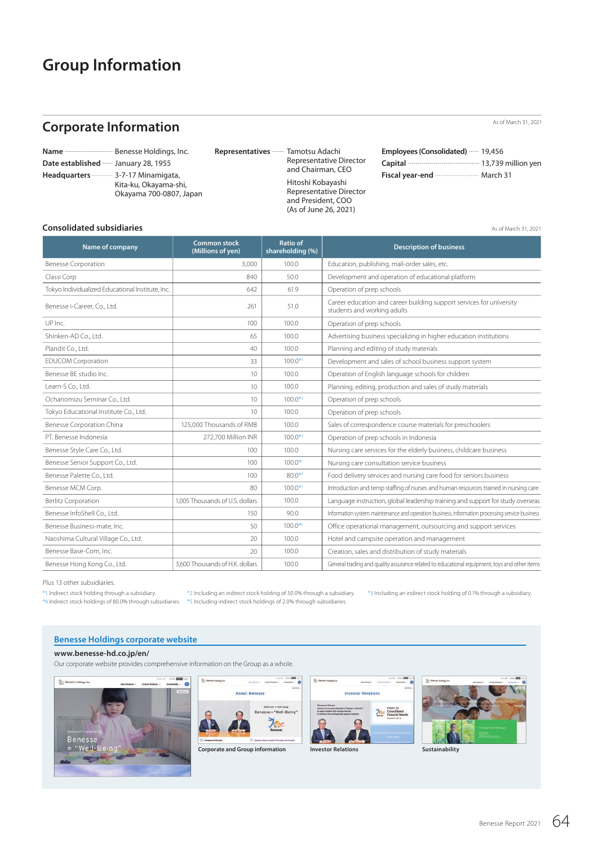# **Group Information**

# **Corporate Information**

|                                    | Name <b>Mame Mame Mame Mame Mame Mame Mame D</b> |
|------------------------------------|--------------------------------------------------|
| Date established  January 28, 1955 |                                                  |
| Headquarters  3-7-17 Minamigata,   |                                                  |
|                                    | Kita-ku, Okayama-shi,                            |
|                                    | Okayama 700-0807, Japan                          |

constant support of the business and activities of the Benesse Group. The Group Representative Director and President, COO under which is approximately and President, COO  $R_{\text{R}}$  representative Director and Chairman, CEO of Benesse Holdings, and Hitoship systems, and Hitleship systems, and Hitleship systems of Benesse Holdings, and Hitleship systems of Benesse Holdings, and Hitleship sys Representatives **Tamotsu Adachi**  Representative Director Hitoshi Kobayashi (As of June 26, 2021)

| esentatives …… Tamotsu Adachi                | Employees (Consolidated)  19,456                                                      |  |
|----------------------------------------------|---------------------------------------------------------------------------------------|--|
| Representative Director<br>and Chairman, CEO | Capital <b>Capital</b> Capital Committee Capital Capital Committee 13,739 million yen |  |
|                                              | Fiscal year-end <b>William</b> March 31                                               |  |

As of March 31, 2021

As of March 31, 2021

### **Consolidated subsidiaries**

| Consolidated Subsidiaries                        |                                          |                                     | As of March 31, 2021                                                                                |
|--------------------------------------------------|------------------------------------------|-------------------------------------|-----------------------------------------------------------------------------------------------------|
| Name of company                                  | <b>Common stock</b><br>(Millions of yen) | <b>Ratio of</b><br>shareholding (%) | <b>Description of business</b>                                                                      |
| <b>Benesse Corporation</b>                       | 3.000                                    | 100.0                               | Education, publishing, mail-order sales, etc.                                                       |
| Classi Corp                                      | 840                                      | 50.0                                | Development and operation of educational platform                                                   |
| Tokyo Individualized Educational Institute, Inc. | 642                                      | 61.9                                | Operation of prep schools                                                                           |
| Benesse i-Career, Co., Ltd.                      | 261                                      | 51.0                                | Career education and career building support services for university<br>students and working adults |
| UP Inc.                                          | 100                                      | 100.0                               | Operation of prep schools                                                                           |
| Shinken-AD Co., Ltd.                             | 65                                       | 100.0                               | Advertising business specializing in higher education institutions                                  |
| Plandit Co., Ltd.                                | 40                                       | 100.0                               | Planning and editing of study materials                                                             |
| <b>EDUCOM Corporation</b>                        | 33                                       | $100.0*1$                           | Development and sales of school business support system                                             |
| Benesse BE studio Inc.                           | 10                                       | 100.0                               | Operation of English language schools for children                                                  |
| Learn-S Co., Ltd.                                | 10                                       | 100.0                               | Planning, editing, production and sales of study materials                                          |
| Ochanomizu Seminar Co., Ltd.                     | 10                                       | $100.0*^{2}$                        | Operation of prep schools                                                                           |
| Tokyo Educational Institute Co., Ltd.            | 10                                       | 100.0                               | Operation of prep schools                                                                           |
| <b>Benesse Corporation China</b>                 | 125,000 Thousands of RMB                 | 100.0                               | Sales of correspondence course materials for preschoolers                                           |
| PT. Benesse Indonesia                            | 272,700 Million INR                      | $100.0*3$                           | Operation of prep schools in Indonesia                                                              |
| Benesse Style Care Co., Ltd.                     | 100                                      | 100.0                               | Nursing care services for the elderly business, childcare business                                  |
| Benesse Senior Support Co., Ltd.                 | 100                                      | $100.0*1$                           | Nursing care consultation service business                                                          |
| Benesse Palette Co., Ltd.                        | 100                                      | $80.0**$                            | Food delivery services and nursing care food for seniors business                                   |
| Benesse MCM Corp.                                | 80                                       | $100.0*1$                           | Introduction and temp staffing of nurses and human resources trained in nursing care                |
| <b>Berlitz Corporation</b>                       | 1.005 Thousands of U.S. dollars          | 100.0                               | Language instruction, global leadership training and support for study overseas                     |
| Benesse InfoShell Co., Ltd.                      | 150                                      | 90.0                                | Information system maintenance and operation business, information processing service business      |
| Benesse Business-mate, Inc.                      | 50                                       | $100.0*5$                           | Office operational management, outsourcing and support services                                     |
| Naoshima Cultural Village Co., Ltd.              | 20                                       | 100.0                               | Hotel and campsite operation and management                                                         |
| Benesse Base-Com, Inc.                           | 20                                       | 100.0                               | Creation, sales and distribution of study materials                                                 |
| Benesse Hong Kong Co., Ltd.                      | 3.600 Thousands of H.K. dollars          | 100.0                               | General trading and quality assurance related to educational equipment, toys and other items        |

Plus 13 other subsidiaries.

progress, and the steps we are taking to fortify our management base. We hope \*1 Indirect stock holding through a subsidiary. \*2 Including an indirect stock holding of 50.0% through a subsidiary. \*3 Including an indirect stock holding of 0.1% through a subsidiary \*1 Indirec

 $*$ 3 Including an indirect stock holding of 0.1% through a subsidiary.

#### **Benesse Holdings corporate website**

#### **www.benesse-hd.co.jp/en/**

Our corporate website provides comprehensive information on the Group as a whole.<br>.





**Corporate and Group information Investor Relations Investor Relations Sustainability**